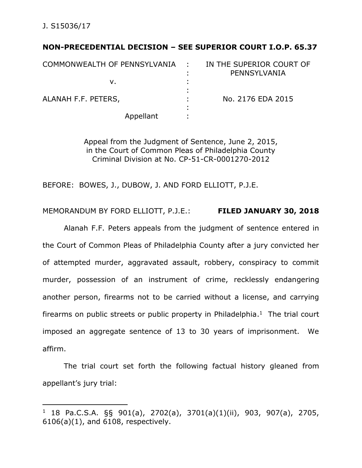$\overline{a}$ 

# **NON-PRECEDENTIAL DECISION – SEE SUPERIOR COURT I.O.P. 65.37**

| COMMONWEALTH OF PENNSYLVANIA | $\sim 100$ | IN THE SUPERIOR COURT OF |
|------------------------------|------------|--------------------------|
|                              |            | PENNSYLVANIA             |
| ν.                           |            |                          |
|                              |            |                          |
| ALANAH F.F. PETERS,          |            | No. 2176 EDA 2015        |
|                              | ٠          |                          |
| Appellant                    |            |                          |

Appeal from the Judgment of Sentence, June 2, 2015, in the Court of Common Pleas of Philadelphia County Criminal Division at No. CP-51-CR-0001270-2012

BEFORE: BOWES, J., DUBOW, J. AND FORD ELLIOTT, P.J.E.

# MEMORANDUM BY FORD ELLIOTT, P.J.E.: **FILED JANUARY 30, 2018**

Alanah F.F. Peters appeals from the judgment of sentence entered in the Court of Common Pleas of Philadelphia County after a jury convicted her of attempted murder, aggravated assault, robbery, conspiracy to commit murder, possession of an instrument of crime, recklessly endangering another person, firearms not to be carried without a license, and carrying firearms on public streets or public property in Philadelphia. $<sup>1</sup>$  The trial court</sup> imposed an aggregate sentence of 13 to 30 years of imprisonment. We affirm.

The trial court set forth the following factual history gleaned from appellant's jury trial:

<sup>1</sup> 18 Pa.C.S.A. §§ 901(a), 2702(a), 3701(a)(1)(ii), 903, 907(a), 2705, 6106(a)(1), and 6108, respectively.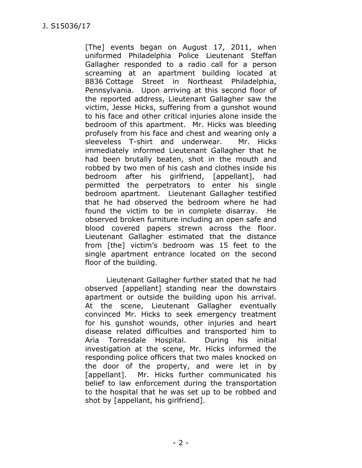[The] events began on August 17, 2011, when uniformed Philadelphia Police Lieutenant Steffan Gallagher responded to a radio call for a person screaming at an apartment building located at 8836 Cottage Street in Northeast Philadelphia, Pennsylvania. Upon arriving at this second floor of the reported address, Lieutenant Gallagher saw the victim, Jesse Hicks, suffering from a gunshot wound to his face and other critical injuries alone inside the bedroom of this apartment. Mr. Hicks was bleeding profusely from his face and chest and wearing only a sleeveless T-shirt and underwear. Mr. Hicks immediately informed Lieutenant Gallagher that he had been brutally beaten, shot in the mouth and robbed by two men of his cash and clothes inside his bedroom after his girlfriend, [appellant], had permitted the perpetrators to enter his single bedroom apartment. Lieutenant Gallagher testified that he had observed the bedroom where he had found the victim to be in complete disarray. He observed broken furniture including an open safe and blood covered papers strewn across the floor. Lieutenant Gallagher estimated that the distance from [the] victim's bedroom was 15 feet to the single apartment entrance located on the second floor of the building.

Lieutenant Gallagher further stated that he had observed [appellant] standing near the downstairs apartment or outside the building upon his arrival. At the scene, Lieutenant Gallagher eventually convinced Mr. Hicks to seek emergency treatment for his gunshot wounds, other injuries and heart disease related difficulties and transported him to Aria Torresdale Hospital. During his initial investigation at the scene, Mr. Hicks informed the responding police officers that two males knocked on the door of the property, and were let in by [appellant]. Mr. Hicks further communicated his belief to law enforcement during the transportation to the hospital that he was set up to be robbed and shot by [appellant, his girlfriend].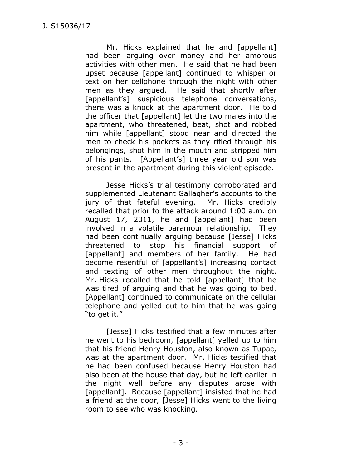Mr. Hicks explained that he and [appellant] had been arguing over money and her amorous activities with other men. He said that he had been upset because [appellant] continued to whisper or text on her cellphone through the night with other men as they argued. He said that shortly after [appellant's] suspicious telephone conversations, there was a knock at the apartment door. He told the officer that [appellant] let the two males into the apartment, who threatened, beat, shot and robbed him while [appellant] stood near and directed the men to check his pockets as they rifled through his belongings, shot him in the mouth and stripped him of his pants. [Appellant's] three year old son was present in the apartment during this violent episode.

Jesse Hicks's trial testimony corroborated and supplemented Lieutenant Gallagher's accounts to the jury of that fateful evening. Mr. Hicks credibly recalled that prior to the attack around 1:00 a.m. on August 17, 2011, he and [appellant] had been involved in a volatile paramour relationship. They had been continually arguing because [Jesse] Hicks threatened to stop his financial support of [appellant] and members of her family. He had become resentful of [appellant's] increasing contact and texting of other men throughout the night. Mr. Hicks recalled that he told [appellant] that he was tired of arguing and that he was going to bed. [Appellant] continued to communicate on the cellular telephone and yelled out to him that he was going "to get it."

[Jesse] Hicks testified that a few minutes after he went to his bedroom, [appellant] yelled up to him that his friend Henry Houston, also known as Tupac, was at the apartment door. Mr. Hicks testified that he had been confused because Henry Houston had also been at the house that day, but he left earlier in the night well before any disputes arose with [appellant]. Because [appellant] insisted that he had a friend at the door, [Jesse] Hicks went to the living room to see who was knocking.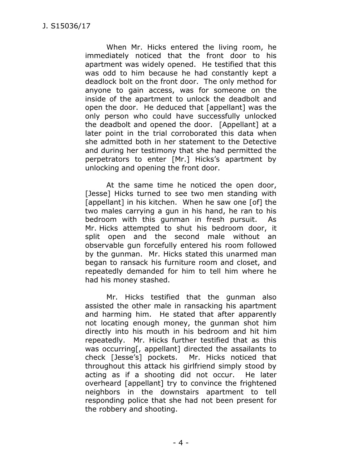When Mr. Hicks entered the living room, he immediately noticed that the front door to his apartment was widely opened. He testified that this was odd to him because he had constantly kept a deadlock bolt on the front door. The only method for anyone to gain access, was for someone on the inside of the apartment to unlock the deadbolt and open the door. He deduced that [appellant] was the only person who could have successfully unlocked the deadbolt and opened the door. [Appellant] at a later point in the trial corroborated this data when she admitted both in her statement to the Detective and during her testimony that she had permitted the perpetrators to enter [Mr.] Hicks's apartment by unlocking and opening the front door.

At the same time he noticed the open door, [Jesse] Hicks turned to see two men standing with [appellant] in his kitchen. When he saw one [of] the two males carrying a gun in his hand, he ran to his bedroom with this gunman in fresh pursuit. As Mr. Hicks attempted to shut his bedroom door, it split open and the second male without an observable gun forcefully entered his room followed by the gunman. Mr. Hicks stated this unarmed man began to ransack his furniture room and closet, and repeatedly demanded for him to tell him where he had his money stashed.

Mr. Hicks testified that the gunman also assisted the other male in ransacking his apartment and harming him. He stated that after apparently not locating enough money, the gunman shot him directly into his mouth in his bedroom and hit him repeatedly. Mr. Hicks further testified that as this was occurring[, appellant] directed the assailants to check [Jesse's] pockets. Mr. Hicks noticed that throughout this attack his girlfriend simply stood by acting as if a shooting did not occur. He later overheard [appellant] try to convince the frightened neighbors in the downstairs apartment to tell responding police that she had not been present for the robbery and shooting.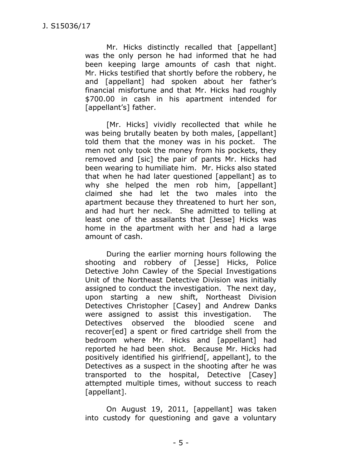Mr. Hicks distinctly recalled that [appellant] was the only person he had informed that he had been keeping large amounts of cash that night. Mr. Hicks testified that shortly before the robbery, he and [appellant] had spoken about her father's financial misfortune and that Mr. Hicks had roughly \$700.00 in cash in his apartment intended for [appellant's] father.

[Mr. Hicks] vividly recollected that while he was being brutally beaten by both males, [appellant] told them that the money was in his pocket. The men not only took the money from his pockets, they removed and [sic] the pair of pants Mr. Hicks had been wearing to humiliate him. Mr. Hicks also stated that when he had later questioned [appellant] as to why she helped the men rob him, [appellant] claimed she had let the two males into the apartment because they threatened to hurt her son, and had hurt her neck. She admitted to telling at least one of the assailants that [Jesse] Hicks was home in the apartment with her and had a large amount of cash.

During the earlier morning hours following the shooting and robbery of [Jesse] Hicks, Police Detective John Cawley of the Special Investigations Unit of the Northeast Detective Division was initially assigned to conduct the investigation. The next day, upon starting a new shift, Northeast Division Detectives Christopher [Casey] and Andrew Danks were assigned to assist this investigation. The Detectives observed the bloodied scene and recover[ed] a spent or fired cartridge shell from the bedroom where Mr. Hicks and [appellant] had reported he had been shot. Because Mr. Hicks had positively identified his girlfriend[, appellant], to the Detectives as a suspect in the shooting after he was transported to the hospital, Detective [Casey] attempted multiple times, without success to reach [appellant].

On August 19, 2011, [appellant] was taken into custody for questioning and gave a voluntary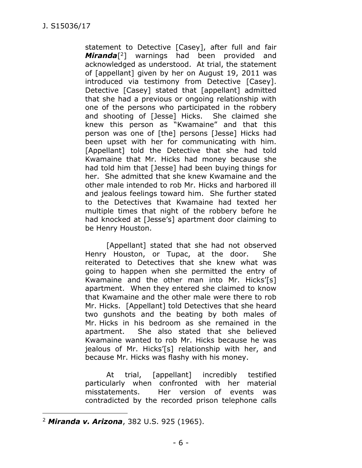statement to Detective [Casey], after full and fair *Miranda*[ <sup>2</sup>] warnings had been provided and acknowledged as understood. At trial, the statement of [appellant] given by her on August 19, 2011 was introduced via testimony from Detective [Casey]. Detective [Casey] stated that [appellant] admitted that she had a previous or ongoing relationship with one of the persons who participated in the robbery and shooting of [Jesse] Hicks. She claimed she knew this person as "Kwamaine" and that this person was one of [the] persons [Jesse] Hicks had been upset with her for communicating with him. [Appellant] told the Detective that she had told Kwamaine that Mr. Hicks had money because she had told him that [Jesse] had been buying things for her. She admitted that she knew Kwamaine and the other male intended to rob Mr. Hicks and harbored ill and jealous feelings toward him. She further stated to the Detectives that Kwamaine had texted her multiple times that night of the robbery before he had knocked at [Jesse's] apartment door claiming to be Henry Houston.

[Appellant] stated that she had not observed Henry Houston, or Tupac, at the door. She reiterated to Detectives that she knew what was going to happen when she permitted the entry of Kwamaine and the other man into Mr. Hicks'[s] apartment. When they entered she claimed to know that Kwamaine and the other male were there to rob Mr. Hicks. [Appellant] told Detectives that she heard two gunshots and the beating by both males of Mr. Hicks in his bedroom as she remained in the apartment. She also stated that she believed Kwamaine wanted to rob Mr. Hicks because he was jealous of Mr. Hicks'[s] relationship with her, and because Mr. Hicks was flashy with his money.

At trial, [appellant] incredibly testified particularly when confronted with her material misstatements. Her version of events was contradicted by the recorded prison telephone calls

 $\overline{a}$ 

<sup>2</sup> *Miranda v. Arizona*, 382 U.S. 925 (1965).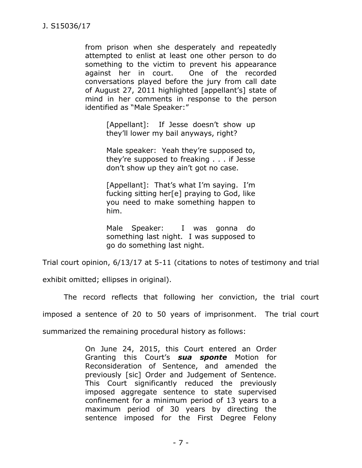from prison when she desperately and repeatedly attempted to enlist at least one other person to do something to the victim to prevent his appearance against her in court. One of the recorded conversations played before the jury from call date of August 27, 2011 highlighted [appellant's] state of mind in her comments in response to the person identified as "Male Speaker:"

> [Appellant]: If Jesse doesn't show up they'll lower my bail anyways, right?

> Male speaker: Yeah they're supposed to, they're supposed to freaking . . . if Jesse don't show up they ain't got no case.

> [Appellant]: That's what I'm saying. I'm fucking sitting her[e] praying to God, like you need to make something happen to him.

> Male Speaker: I was gonna do something last night. I was supposed to go do something last night.

Trial court opinion, 6/13/17 at 5-11 (citations to notes of testimony and trial

exhibit omitted; ellipses in original).

The record reflects that following her conviction, the trial court

imposed a sentence of 20 to 50 years of imprisonment. The trial court

summarized the remaining procedural history as follows:

On June 24, 2015, this Court entered an Order Granting this Court's *sua sponte* Motion for Reconsideration of Sentence, and amended the previously [sic] Order and Judgement of Sentence. This Court significantly reduced the previously imposed aggregate sentence to state supervised confinement for a minimum period of 13 years to a maximum period of 30 years by directing the sentence imposed for the First Degree Felony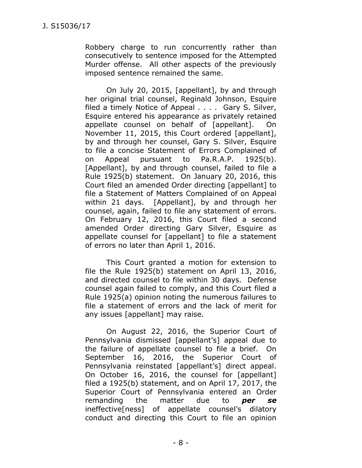Robbery charge to run concurrently rather than consecutively to sentence imposed for the Attempted Murder offense. All other aspects of the previously imposed sentence remained the same.

On July 20, 2015, [appellant], by and through her original trial counsel, Reginald Johnson, Esquire filed a timely Notice of Appeal . . . . Gary S. Silver, Esquire entered his appearance as privately retained appellate counsel on behalf of [appellant]. On November 11, 2015, this Court ordered [appellant], by and through her counsel, Gary S. Silver, Esquire to file a concise Statement of Errors Complained of on Appeal pursuant to Pa.R.A.P. 1925(b). [Appellant], by and through counsel, failed to file a Rule 1925(b) statement. On January 20, 2016, this Court filed an amended Order directing [appellant] to file a Statement of Matters Complained of on Appeal within 21 days. [Appellant], by and through her counsel, again, failed to file any statement of errors. On February 12, 2016, this Court filed a second amended Order directing Gary Silver, Esquire as appellate counsel for [appellant] to file a statement of errors no later than April 1, 2016.

This Court granted a motion for extension to file the Rule 1925(b) statement on April 13, 2016, and directed counsel to file within 30 days. Defense counsel again failed to comply, and this Court filed a Rule 1925(a) opinion noting the numerous failures to file a statement of errors and the lack of merit for any issues [appellant] may raise.

On August 22, 2016, the Superior Court of Pennsylvania dismissed [appellant's] appeal due to the failure of appellate counsel to file a brief. On September 16, 2016, the Superior Court of Pennsylvania reinstated [appellant's] direct appeal. On October 16, 2016, the counsel for [appellant] filed a 1925(b) statement, and on April 17, 2017, the Superior Court of Pennsylvania entered an Order remanding the matter due to *per se* ineffective[ness] of appellate counsel's dilatory conduct and directing this Court to file an opinion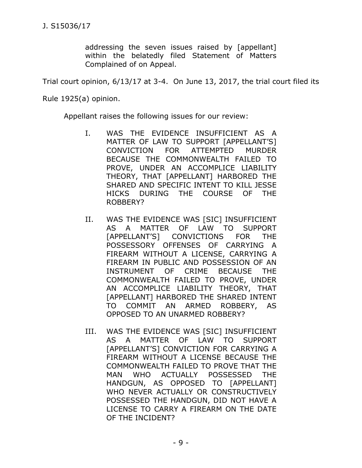addressing the seven issues raised by [appellant] within the belatedly filed Statement of Matters Complained of on Appeal.

Trial court opinion, 6/13/17 at 3-4. On June 13, 2017, the trial court filed its

Rule 1925(a) opinion.

Appellant raises the following issues for our review:

- I. WAS THE EVIDENCE INSUFFICIENT AS A MATTER OF LAW TO SUPPORT [APPELLANT'S] CONVICTION FOR ATTEMPTED MURDER BECAUSE THE COMMONWEALTH FAILED TO PROVE, UNDER AN ACCOMPLICE LIABILITY THEORY, THAT [APPELLANT] HARBORED THE SHARED AND SPECIFIC INTENT TO KILL JESSE HICKS DURING THE COURSE OF THE ROBBERY?
- II. WAS THE EVIDENCE WAS [SIC] INSUFFICIENT AS A MATTER OF LAW TO SUPPORT [APPELLANT'S] CONVICTIONS FOR THE POSSESSORY OFFENSES OF CARRYING A FIREARM WITHOUT A LICENSE, CARRYING A FIREARM IN PUBLIC AND POSSESSION OF AN INSTRUMENT OF CRIME BECAUSE THE COMMONWEALTH FAILED TO PROVE, UNDER AN ACCOMPLICE LIABILITY THEORY, THAT [APPELLANT] HARBORED THE SHARED INTENT TO COMMIT AN ARMED ROBBERY, AS OPPOSED TO AN UNARMED ROBBERY?
- III. WAS THE EVIDENCE WAS [SIC] INSUFFICIENT AS A MATTER OF LAW TO SUPPORT [APPELLANT'S] CONVICTION FOR CARRYING A FIREARM WITHOUT A LICENSE BECAUSE THE COMMONWEALTH FAILED TO PROVE THAT THE MAN WHO ACTUALLY POSSESSED THE HANDGUN, AS OPPOSED TO [APPELLANT] WHO NEVER ACTUALLY OR CONSTRUCTIVELY POSSESSED THE HANDGUN, DID NOT HAVE A LICENSE TO CARRY A FIREARM ON THE DATE OF THE INCIDENT?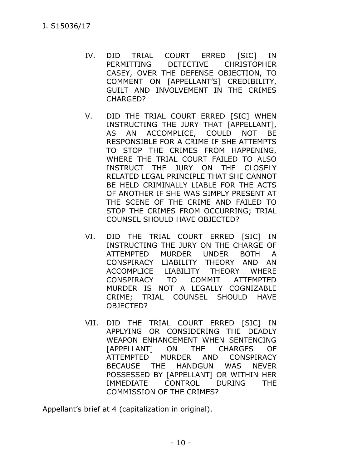- IV. DID TRIAL COURT ERRED [SIC] IN PERMITTING DETECTIVE CHRISTOPHER CASEY, OVER THE DEFENSE OBJECTION, TO COMMENT ON [APPELLANT'S] CREDIBILITY, GUILT AND INVOLVEMENT IN THE CRIMES CHARGED?
- V. DID THE TRIAL COURT ERRED [SIC] WHEN INSTRUCTING THE JURY THAT [APPELLANT], AS AN ACCOMPLICE, COULD NOT BE RESPONSIBLE FOR A CRIME IF SHE ATTEMPTS TO STOP THE CRIMES FROM HAPPENING, WHERE THE TRIAL COURT FAILED TO ALSO INSTRUCT THE JURY ON THE CLOSELY RELATED LEGAL PRINCIPLE THAT SHE CANNOT BE HELD CRIMINALLY LIABLE FOR THE ACTS OF ANOTHER IF SHE WAS SIMPLY PRESENT AT THE SCENE OF THE CRIME AND FAILED TO STOP THE CRIMES FROM OCCURRING; TRIAL COUNSEL SHOULD HAVE OBJECTED?
- VI. DID THE TRIAL COURT ERRED [SIC] IN INSTRUCTING THE JURY ON THE CHARGE OF ATTEMPTED MURDER UNDER BOTH A CONSPIRACY LIABILITY THEORY AND AN ACCOMPLICE LIABILITY THEORY WHERE CONSPIRACY TO COMMIT ATTEMPTED MURDER IS NOT A LEGALLY COGNIZABLE CRIME; TRIAL COUNSEL SHOULD HAVE OBJECTED?
- VII. DID THE TRIAL COURT ERRED [SIC] IN APPLYING OR CONSIDERING THE DEADLY WEAPON ENHANCEMENT WHEN SENTENCING [APPELLANT] ON THE CHARGES OF ATTEMPTED MURDER AND CONSPIRACY BECAUSE THE HANDGUN WAS NEVER POSSESSED BY [APPELLANT] OR WITHIN HER IMMEDIATE CONTROL DURING THE COMMISSION OF THE CRIMES?

Appellant's brief at 4 (capitalization in original).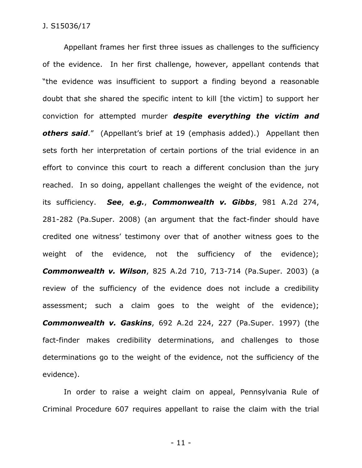Appellant frames her first three issues as challenges to the sufficiency of the evidence. In her first challenge, however, appellant contends that "the evidence was insufficient to support a finding beyond a reasonable doubt that she shared the specific intent to kill [the victim] to support her conviction for attempted murder *despite everything the victim and others said*." (Appellant's brief at 19 (emphasis added).) Appellant then sets forth her interpretation of certain portions of the trial evidence in an effort to convince this court to reach a different conclusion than the jury reached. In so doing, appellant challenges the weight of the evidence, not its sufficiency. *See*, *e.g.*, *Commonwealth v. Gibbs*, 981 A.2d 274, 281-282 (Pa.Super. 2008) (an argument that the fact-finder should have credited one witness' testimony over that of another witness goes to the weight of the evidence, not the sufficiency of the evidence); *Commonwealth v. Wilson*, 825 A.2d 710, 713-714 (Pa.Super. 2003) (a review of the sufficiency of the evidence does not include a credibility assessment; such a claim goes to the weight of the evidence); *Commonwealth v. Gaskins*, 692 A.2d 224, 227 (Pa.Super. 1997) (the fact-finder makes credibility determinations, and challenges to those determinations go to the weight of the evidence, not the sufficiency of the evidence).

In order to raise a weight claim on appeal, Pennsylvania Rule of Criminal Procedure 607 requires appellant to raise the claim with the trial

- 11 -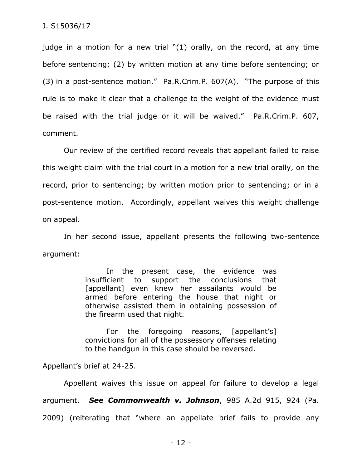judge in a motion for a new trial "(1) orally, on the record, at any time before sentencing; (2) by written motion at any time before sentencing; or (3) in a post-sentence motion." Pa.R.Crim.P. 607(A). "The purpose of this rule is to make it clear that a challenge to the weight of the evidence must be raised with the trial judge or it will be waived." Pa.R.Crim.P. 607, comment.

Our review of the certified record reveals that appellant failed to raise this weight claim with the trial court in a motion for a new trial orally, on the record, prior to sentencing; by written motion prior to sentencing; or in a post-sentence motion. Accordingly, appellant waives this weight challenge on appeal.

In her second issue, appellant presents the following two-sentence argument:

> In the present case, the evidence was insufficient to support the conclusions that [appellant] even knew her assailants would be armed before entering the house that night or otherwise assisted them in obtaining possession of the firearm used that night.

> For the foregoing reasons, [appellant's] convictions for all of the possessory offenses relating to the handgun in this case should be reversed.

Appellant's brief at 24-25.

Appellant waives this issue on appeal for failure to develop a legal argument. *See Commonwealth v. Johnson*, 985 A.2d 915, 924 (Pa. 2009) (reiterating that "where an appellate brief fails to provide any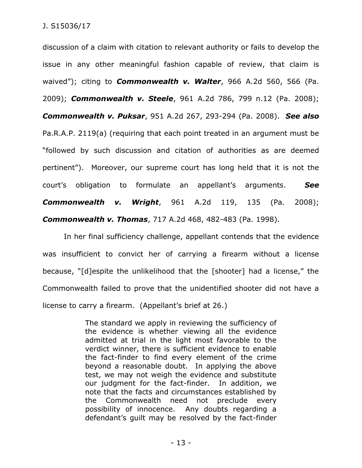discussion of a claim with citation to relevant authority or fails to develop the issue in any other meaningful fashion capable of review, that claim is waived"); citing to *Commonwealth v. Walter*, 966 A.2d 560, 566 (Pa. 2009); *Commonwealth v. Steele*, 961 A.2d 786, 799 n.12 (Pa. 2008); *Commonwealth v. Puksar*, 951 A.2d 267, 293-294 (Pa. 2008). *See also*  Pa.R.A.P. 2119(a) (requiring that each point treated in an argument must be "followed by such discussion and citation of authorities as are deemed pertinent"). Moreover, our supreme court has long held that it is not the court's obligation to formulate an appellant's arguments. *See Commonwealth v. Wright*, 961 A.2d 119, 135 (Pa. 2008); *Commonwealth v. Thomas*, 717 A.2d 468, 482-483 (Pa. 1998).

In her final sufficiency challenge, appellant contends that the evidence was insufficient to convict her of carrying a firearm without a license because, "[d]espite the unlikelihood that the [shooter] had a license," the Commonwealth failed to prove that the unidentified shooter did not have a license to carry a firearm. (Appellant's brief at 26.)

> The standard we apply in reviewing the sufficiency of the evidence is whether viewing all the evidence admitted at trial in the light most favorable to the verdict winner, there is sufficient evidence to enable the fact-finder to find every element of the crime beyond a reasonable doubt. In applying the above test, we may not weigh the evidence and substitute our judgment for the fact-finder. In addition, we note that the facts and circumstances established by the Commonwealth need not preclude every possibility of innocence. Any doubts regarding a defendant's guilt may be resolved by the fact-finder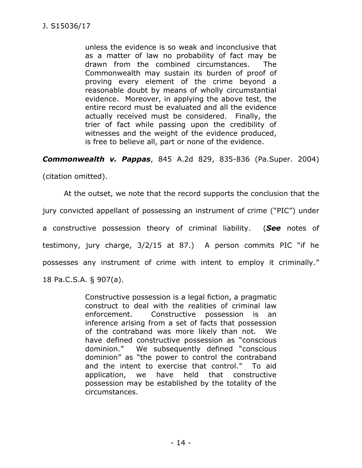unless the evidence is so weak and inconclusive that as a matter of law no probability of fact may be drawn from the combined circumstances. The Commonwealth may sustain its burden of proof of proving every element of the crime beyond a reasonable doubt by means of wholly circumstantial evidence. Moreover, in applying the above test, the entire record must be evaluated and all the evidence actually received must be considered. Finally, the trier of fact while passing upon the credibility of witnesses and the weight of the evidence produced, is free to believe all, part or none of the evidence.

*Commonwealth v. Pappas*, 845 A.2d 829, 835-836 (Pa.Super. 2004)

(citation omitted).

At the outset, we note that the record supports the conclusion that the jury convicted appellant of possessing an instrument of crime ("PIC") under a constructive possession theory of criminal liability. (*See* notes of testimony, jury charge, 3/2/15 at 87.) A person commits PIC "if he possesses any instrument of crime with intent to employ it criminally." 18 Pa.C.S.A. § 907(a).

> Constructive possession is a legal fiction, a pragmatic construct to deal with the realities of criminal law enforcement. Constructive possession is an inference arising from a set of facts that possession of the contraband was more likely than not. We have defined constructive possession as "conscious dominion." We subsequently defined "conscious dominion" as "the power to control the contraband and the intent to exercise that control." To aid application, we have held that constructive possession may be established by the totality of the circumstances.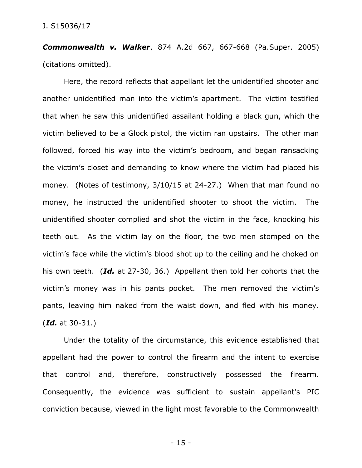*Commonwealth v. Walker*, 874 A.2d 667, 667-668 (Pa.Super. 2005) (citations omitted).

Here, the record reflects that appellant let the unidentified shooter and another unidentified man into the victim's apartment. The victim testified that when he saw this unidentified assailant holding a black gun, which the victim believed to be a Glock pistol, the victim ran upstairs. The other man followed, forced his way into the victim's bedroom, and began ransacking the victim's closet and demanding to know where the victim had placed his money. (Notes of testimony, 3/10/15 at 24-27.) When that man found no money, he instructed the unidentified shooter to shoot the victim. The unidentified shooter complied and shot the victim in the face, knocking his teeth out. As the victim lay on the floor, the two men stomped on the victim's face while the victim's blood shot up to the ceiling and he choked on his own teeth. (*Id.* at 27-30, 36.) Appellant then told her cohorts that the victim's money was in his pants pocket. The men removed the victim's pants, leaving him naked from the waist down, and fled with his money. (*Id.* at 30-31.)

Under the totality of the circumstance, this evidence established that appellant had the power to control the firearm and the intent to exercise that control and, therefore, constructively possessed the firearm. Consequently, the evidence was sufficient to sustain appellant's PIC conviction because, viewed in the light most favorable to the Commonwealth

- 15 -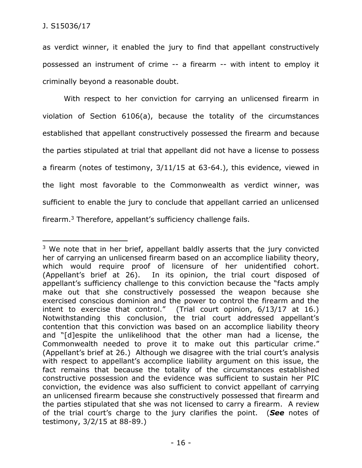$\overline{a}$ 

as verdict winner, it enabled the jury to find that appellant constructively possessed an instrument of crime -- a firearm -- with intent to employ it criminally beyond a reasonable doubt.

With respect to her conviction for carrying an unlicensed firearm in violation of Section 6106(a), because the totality of the circumstances established that appellant constructively possessed the firearm and because the parties stipulated at trial that appellant did not have a license to possess a firearm (notes of testimony, 3/11/15 at 63-64.), this evidence, viewed in the light most favorable to the Commonwealth as verdict winner, was sufficient to enable the jury to conclude that appellant carried an unlicensed firearm.<sup>3</sup> Therefore, appellant's sufficiency challenge fails.

<sup>&</sup>lt;sup>3</sup> We note that in her brief, appellant baldly asserts that the jury convicted her of carrying an unlicensed firearm based on an accomplice liability theory, which would require proof of licensure of her unidentified cohort. (Appellant's brief at 26). In its opinion, the trial court disposed of appellant's sufficiency challenge to this conviction because the "facts amply make out that she constructively possessed the weapon because she exercised conscious dominion and the power to control the firearm and the intent to exercise that control." (Trial court opinion, 6/13/17 at 16.) Notwithstanding this conclusion, the trial court addressed appellant's contention that this conviction was based on an accomplice liability theory and "[d]espite the unlikelihood that the other man had a license, the Commonwealth needed to prove it to make out this particular crime." (Appellant's brief at 26.) Although we disagree with the trial court's analysis with respect to appellant's accomplice liability argument on this issue, the fact remains that because the totality of the circumstances established constructive possession and the evidence was sufficient to sustain her PIC conviction, the evidence was also sufficient to convict appellant of carrying an unlicensed firearm because she constructively possessed that firearm and the parties stipulated that she was not licensed to carry a firearm. A review of the trial court's charge to the jury clarifies the point. (*See* notes of testimony, 3/2/15 at 88-89.)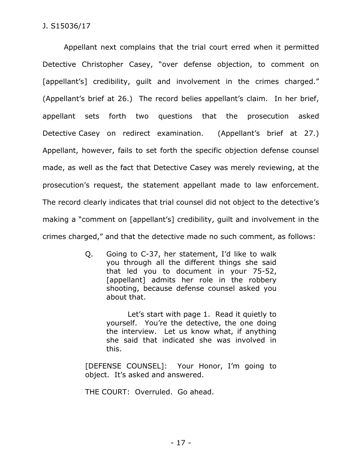Appellant next complains that the trial court erred when it permitted Detective Christopher Casey, "over defense objection, to comment on [appellant's] credibility, quilt and involvement in the crimes charged." (Appellant's brief at 26.) The record belies appellant's claim. In her brief, appellant sets forth two questions that the prosecution asked Detective Casey on redirect examination. (Appellant's brief at 27.) Appellant, however, fails to set forth the specific objection defense counsel made, as well as the fact that Detective Casey was merely reviewing, at the prosecution's request, the statement appellant made to law enforcement. The record clearly indicates that trial counsel did not object to the detective's making a "comment on [appellant's] credibility, guilt and involvement in the crimes charged," and that the detective made no such comment, as follows:

> Q. Going to C-37, her statement, I'd like to walk you through all the different things she said that led you to document in your 75-52, [appellant] admits her role in the robbery shooting, because defense counsel asked you about that.

> > Let's start with page 1. Read it quietly to yourself. You're the detective, the one doing the interview. Let us know what, if anything she said that indicated she was involved in this.

[DEFENSE COUNSEL]: Your Honor, I'm going to object. It's asked and answered.

THE COURT: Overruled. Go ahead.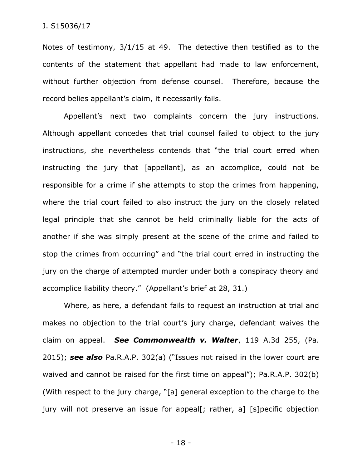Notes of testimony, 3/1/15 at 49. The detective then testified as to the contents of the statement that appellant had made to law enforcement, without further objection from defense counsel. Therefore, because the record belies appellant's claim, it necessarily fails.

Appellant's next two complaints concern the jury instructions. Although appellant concedes that trial counsel failed to object to the jury instructions, she nevertheless contends that "the trial court erred when instructing the jury that [appellant], as an accomplice, could not be responsible for a crime if she attempts to stop the crimes from happening, where the trial court failed to also instruct the jury on the closely related legal principle that she cannot be held criminally liable for the acts of another if she was simply present at the scene of the crime and failed to stop the crimes from occurring" and "the trial court erred in instructing the jury on the charge of attempted murder under both a conspiracy theory and accomplice liability theory." (Appellant's brief at 28, 31.)

Where, as here, a defendant fails to request an instruction at trial and makes no objection to the trial court's jury charge, defendant waives the claim on appeal. *See Commonwealth v. Walter*, 119 A.3d 255, (Pa. 2015); *see also* Pa.R.A.P. 302(a) ("Issues not raised in the lower court are waived and cannot be raised for the first time on appeal"); Pa.R.A.P. 302(b) (With respect to the jury charge, "[a] general exception to the charge to the jury will not preserve an issue for appeal[; rather, a] [s]pecific objection

- 18 -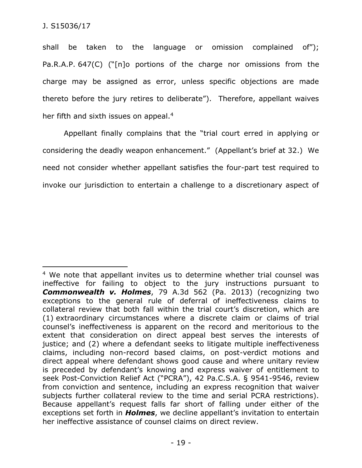shall be taken to the language or omission complained of"); Pa.R.A.P. 647(C) ("[n]o portions of the charge nor omissions from the charge may be assigned as error, unless specific objections are made thereto before the jury retires to deliberate"). Therefore, appellant waives her fifth and sixth issues on appeal.<sup>4</sup>

Appellant finally complains that the "trial court erred in applying or considering the deadly weapon enhancement." (Appellant's brief at 32.) We need not consider whether appellant satisfies the four-part test required to invoke our jurisdiction to entertain a challenge to a discretionary aspect of

 $\overline{a}$ <sup>4</sup> We note that appellant invites us to determine whether trial counsel was ineffective for failing to object to the jury instructions pursuant to *Commonwealth v. Holmes*, 79 A.3d 562 (Pa. 2013) (recognizing two exceptions to the general rule of deferral of ineffectiveness claims to collateral review that both fall within the trial court's discretion, which are (1) extraordinary circumstances where a discrete claim or claims of trial counsel's ineffectiveness is apparent on the record and meritorious to the extent that consideration on direct appeal best serves the interests of justice; and (2) where a defendant seeks to litigate multiple ineffectiveness claims, including non-record based claims, on post-verdict motions and direct appeal where defendant shows good cause and where unitary review is preceded by defendant's knowing and express waiver of entitlement to seek Post-Conviction Relief Act ("PCRA"), 42 Pa.C.S.A. § 9541-9546, review from conviction and sentence, including an express recognition that waiver subjects further collateral review to the time and serial PCRA restrictions). Because appellant's request falls far short of falling under either of the exceptions set forth in *Holmes*, we decline appellant's invitation to entertain her ineffective assistance of counsel claims on direct review.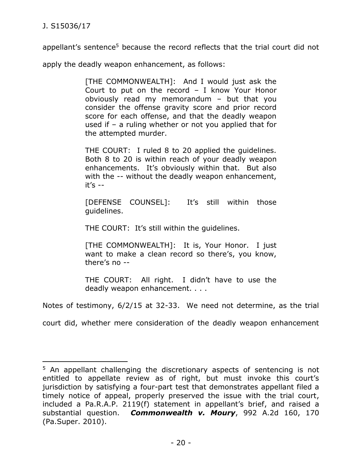$\overline{a}$ 

appellant's sentence<sup>5</sup> because the record reflects that the trial court did not

apply the deadly weapon enhancement, as follows:

[THE COMMONWEALTH]: And I would just ask the Court to put on the record – I know Your Honor obviously read my memorandum – but that you consider the offense gravity score and prior record score for each offense, and that the deadly weapon used if – a ruling whether or not you applied that for the attempted murder.

THE COURT: I ruled 8 to 20 applied the guidelines. Both 8 to 20 is within reach of your deadly weapon enhancements. It's obviously within that. But also with the  $-$ - without the deadly weapon enhancement, it's --

[DEFENSE COUNSEL]: It's still within those guidelines.

THE COURT: It's still within the guidelines.

[THE COMMONWEALTH]: It is, Your Honor. I just want to make a clean record so there's, you know, there's no --

THE COURT: All right. I didn't have to use the deadly weapon enhancement. . . .

Notes of testimony, 6/2/15 at 32-33. We need not determine, as the trial

court did, whether mere consideration of the deadly weapon enhancement

<sup>&</sup>lt;sup>5</sup> An appellant challenging the discretionary aspects of sentencing is not entitled to appellate review as of right, but must invoke this court's jurisdiction by satisfying a four-part test that demonstrates appellant filed a timely notice of appeal, properly preserved the issue with the trial court, included a Pa.R.A.P. 2119(f) statement in appellant's brief, and raised a substantial question. *Commonwealth v. Moury*, 992 A.2d 160, 170 (Pa.Super. 2010).